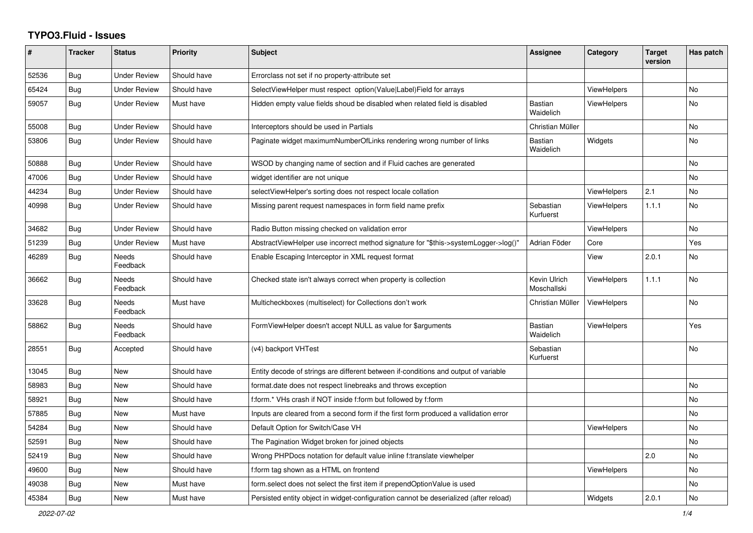## **TYPO3.Fluid - Issues**

| ∦     | <b>Tracker</b> | <b>Status</b>            | <b>Priority</b> | <b>Subject</b>                                                                        | Assignee                    | Category           | <b>Target</b><br>version | Has patch |
|-------|----------------|--------------------------|-----------------|---------------------------------------------------------------------------------------|-----------------------------|--------------------|--------------------------|-----------|
| 52536 | <b>Bug</b>     | <b>Under Review</b>      | Should have     | Errorclass not set if no property-attribute set                                       |                             |                    |                          |           |
| 65424 | <b>Bug</b>     | <b>Under Review</b>      | Should have     | SelectViewHelper must respect option(Value Label)Field for arrays                     |                             | ViewHelpers        |                          | No        |
| 59057 | <b>Bug</b>     | <b>Under Review</b>      | Must have       | Hidden empty value fields shoud be disabled when related field is disabled            | Bastian<br>Waidelich        | <b>ViewHelpers</b> |                          | No        |
| 55008 | Bug            | Under Review             | Should have     | Interceptors should be used in Partials                                               | Christian Müller            |                    |                          | No        |
| 53806 | Bug            | Under Review             | Should have     | Paginate widget maximumNumberOfLinks rendering wrong number of links                  | Bastian<br>Waidelich        | Widgets            |                          | No        |
| 50888 | Bug            | <b>Under Review</b>      | Should have     | WSOD by changing name of section and if Fluid caches are generated                    |                             |                    |                          | No        |
| 47006 | Bug            | <b>Under Review</b>      | Should have     | widget identifier are not unique                                                      |                             |                    |                          | No        |
| 44234 | Bug            | <b>Under Review</b>      | Should have     | selectViewHelper's sorting does not respect locale collation                          |                             | ViewHelpers        | 2.1                      | <b>No</b> |
| 40998 | Bug            | <b>Under Review</b>      | Should have     | Missing parent request namespaces in form field name prefix                           | Sebastian<br>Kurfuerst      | <b>ViewHelpers</b> | 1.1.1                    | <b>No</b> |
| 34682 | Bug            | <b>Under Review</b>      | Should have     | Radio Button missing checked on validation error                                      |                             | ViewHelpers        |                          | No        |
| 51239 | Bug            | <b>Under Review</b>      | Must have       | AbstractViewHelper use incorrect method signature for "\$this->systemLogger->log()"   | Adrian Föder                | Core               |                          | Yes       |
| 46289 | Bug            | Needs<br>Feedback        | Should have     | Enable Escaping Interceptor in XML request format                                     |                             | View               | 2.0.1                    | No        |
| 36662 | Bug            | <b>Needs</b><br>Feedback | Should have     | Checked state isn't always correct when property is collection                        | Kevin Ulrich<br>Moschallski | <b>ViewHelpers</b> | 1.1.1                    | <b>No</b> |
| 33628 | Bug            | Needs<br>Feedback        | Must have       | Multicheckboxes (multiselect) for Collections don't work                              | Christian Müller            | <b>ViewHelpers</b> |                          | No        |
| 58862 | <b>Bug</b>     | Needs<br>Feedback        | Should have     | FormViewHelper doesn't accept NULL as value for \$arguments                           | Bastian<br>Waidelich        | <b>ViewHelpers</b> |                          | Yes       |
| 28551 | <b>Bug</b>     | Accepted                 | Should have     | (v4) backport VHTest                                                                  | Sebastian<br>Kurfuerst      |                    |                          | No        |
| 13045 | Bug            | <b>New</b>               | Should have     | Entity decode of strings are different between if-conditions and output of variable   |                             |                    |                          |           |
| 58983 | Bug            | <b>New</b>               | Should have     | format.date does not respect linebreaks and throws exception                          |                             |                    |                          | <b>No</b> |
| 58921 | <b>Bug</b>     | New                      | Should have     | f:form.* VHs crash if NOT inside f:form but followed by f:form                        |                             |                    |                          | No        |
| 57885 | Bug            | New                      | Must have       | Inputs are cleared from a second form if the first form produced a vallidation error  |                             |                    |                          | No        |
| 54284 | <b>Bug</b>     | <b>New</b>               | Should have     | Default Option for Switch/Case VH                                                     |                             | <b>ViewHelpers</b> |                          | <b>No</b> |
| 52591 | Bug            | New                      | Should have     | The Pagination Widget broken for joined objects                                       |                             |                    |                          | No        |
| 52419 | Bug            | New                      | Should have     | Wrong PHPDocs notation for default value inline f:translate viewhelper                |                             |                    | 2.0                      | <b>No</b> |
| 49600 | Bug            | <b>New</b>               | Should have     | f:form tag shown as a HTML on frontend                                                |                             | <b>ViewHelpers</b> |                          | <b>No</b> |
| 49038 | <b>Bug</b>     | New                      | Must have       | form.select does not select the first item if prependOptionValue is used              |                             |                    |                          | <b>No</b> |
| 45384 | <b>Bug</b>     | New                      | Must have       | Persisted entity object in widget-configuration cannot be deserialized (after reload) |                             | Widgets            | 2.0.1                    | <b>No</b> |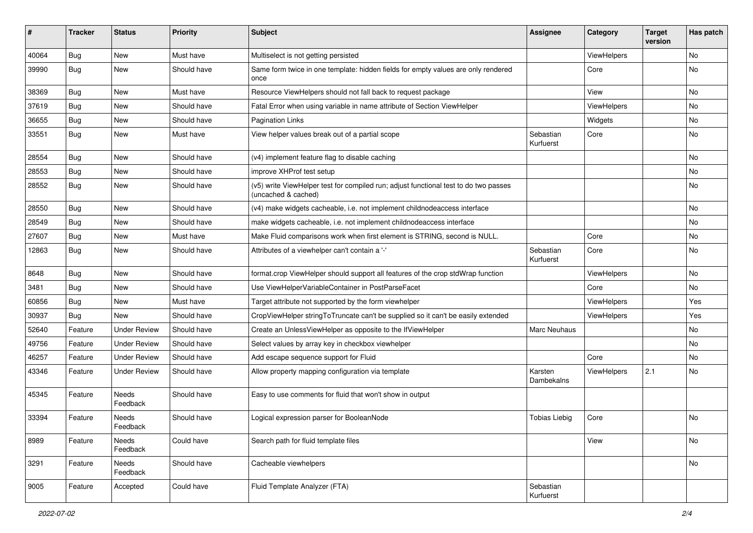| ∦     | <b>Tracker</b> | <b>Status</b>       | <b>Priority</b> | <b>Subject</b>                                                                                              | <b>Assignee</b>        | Category    | <b>Target</b><br>version | Has patch |
|-------|----------------|---------------------|-----------------|-------------------------------------------------------------------------------------------------------------|------------------------|-------------|--------------------------|-----------|
| 40064 | Bug            | New                 | Must have       | Multiselect is not getting persisted                                                                        |                        | ViewHelpers |                          | No        |
| 39990 | Bug            | New                 | Should have     | Same form twice in one template: hidden fields for empty values are only rendered<br>once                   |                        | Core        |                          | No        |
| 38369 | Bug            | New                 | Must have       | Resource ViewHelpers should not fall back to request package                                                |                        | View        |                          | No        |
| 37619 | Bug            | New                 | Should have     | Fatal Error when using variable in name attribute of Section ViewHelper                                     |                        | ViewHelpers |                          | No        |
| 36655 | Bug            | New                 | Should have     | Pagination Links                                                                                            |                        | Widgets     |                          | No        |
| 33551 | Bug            | New                 | Must have       | View helper values break out of a partial scope                                                             | Sebastian<br>Kurfuerst | Core        |                          | No        |
| 28554 | Bug            | <b>New</b>          | Should have     | (v4) implement feature flag to disable caching                                                              |                        |             |                          | No        |
| 28553 | Bug            | New                 | Should have     | improve XHProf test setup                                                                                   |                        |             |                          | No        |
| 28552 | Bug            | New                 | Should have     | (v5) write ViewHelper test for compiled run; adjust functional test to do two passes<br>(uncached & cached) |                        |             |                          | No        |
| 28550 | Bug            | <b>New</b>          | Should have     | (v4) make widgets cacheable, i.e. not implement childnodeaccess interface                                   |                        |             |                          | No.       |
| 28549 | Bug            | New                 | Should have     | make widgets cacheable, i.e. not implement childnodeaccess interface                                        |                        |             |                          | No        |
| 27607 | Bug            | New                 | Must have       | Make Fluid comparisons work when first element is STRING, second is NULL.                                   |                        | Core        |                          | No        |
| 12863 | Bug            | New                 | Should have     | Attributes of a viewhelper can't contain a '-'                                                              | Sebastian<br>Kurfuerst | Core        |                          | No        |
| 8648  | Bug            | New                 | Should have     | format.crop ViewHelper should support all features of the crop stdWrap function                             |                        | ViewHelpers |                          | No        |
| 3481  | Bug            | New                 | Should have     | Use ViewHelperVariableContainer in PostParseFacet                                                           |                        | Core        |                          | No        |
| 60856 | Bug            | New                 | Must have       | Target attribute not supported by the form viewhelper                                                       |                        | ViewHelpers |                          | Yes       |
| 30937 | Bug            | New                 | Should have     | CropViewHelper stringToTruncate can't be supplied so it can't be easily extended                            |                        | ViewHelpers |                          | Yes       |
| 52640 | Feature        | <b>Under Review</b> | Should have     | Create an UnlessViewHelper as opposite to the IfViewHelper                                                  | Marc Neuhaus           |             |                          | No        |
| 49756 | Feature        | <b>Under Review</b> | Should have     | Select values by array key in checkbox viewhelper                                                           |                        |             |                          | No        |
| 46257 | Feature        | <b>Under Review</b> | Should have     | Add escape sequence support for Fluid                                                                       |                        | Core        |                          | No        |
| 43346 | Feature        | <b>Under Review</b> | Should have     | Allow property mapping configuration via template                                                           | Karsten<br>Dambekalns  | ViewHelpers | 2.1                      | No        |
| 45345 | Feature        | Needs<br>Feedback   | Should have     | Easy to use comments for fluid that won't show in output                                                    |                        |             |                          |           |
| 33394 | Feature        | Needs<br>Feedback   | Should have     | Logical expression parser for BooleanNode                                                                   | <b>Tobias Liebig</b>   | Core        |                          | No        |
| 8989  | Feature        | Needs<br>Feedback   | Could have      | Search path for fluid template files                                                                        |                        | View        |                          | No        |
| 3291  | Feature        | Needs<br>Feedback   | Should have     | Cacheable viewhelpers                                                                                       |                        |             |                          | No        |
| 9005  | Feature        | Accepted            | Could have      | Fluid Template Analyzer (FTA)                                                                               | Sebastian<br>Kurfuerst |             |                          |           |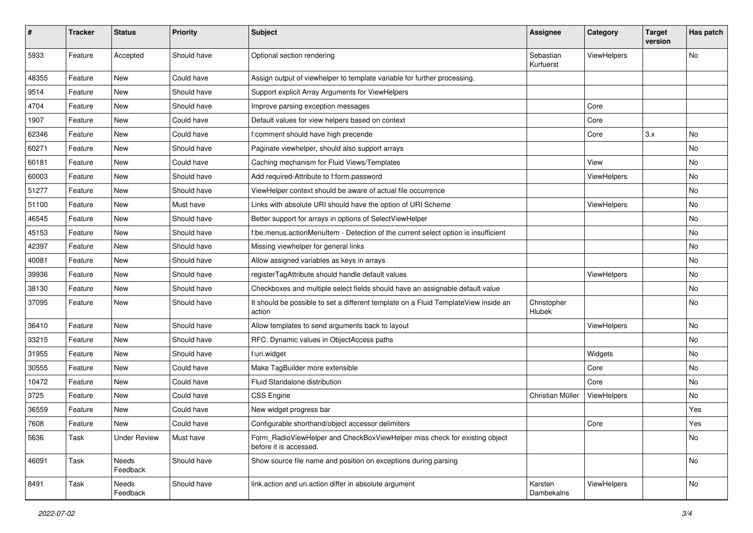| $\pmb{\#}$ | <b>Tracker</b> | <b>Status</b>       | <b>Priority</b> | <b>Subject</b>                                                                                       | <b>Assignee</b>        | Category    | <b>Target</b><br>version | Has patch |
|------------|----------------|---------------------|-----------------|------------------------------------------------------------------------------------------------------|------------------------|-------------|--------------------------|-----------|
| 5933       | Feature        | Accepted            | Should have     | Optional section rendering                                                                           | Sebastian<br>Kurfuerst | ViewHelpers |                          | No        |
| 48355      | Feature        | New                 | Could have      | Assign output of viewhelper to template variable for further processing.                             |                        |             |                          |           |
| 9514       | Feature        | New                 | Should have     | Support explicit Array Arguments for ViewHelpers                                                     |                        |             |                          |           |
| 4704       | Feature        | New                 | Should have     | Improve parsing exception messages                                                                   |                        | Core        |                          |           |
| 1907       | Feature        | New                 | Could have      | Default values for view helpers based on context                                                     |                        | Core        |                          |           |
| 62346      | Feature        | New                 | Could have      | f:comment should have high precende                                                                  |                        | Core        | 3.x                      | No        |
| 60271      | Feature        | New                 | Should have     | Paginate viewhelper, should also support arrays                                                      |                        |             |                          | No        |
| 60181      | Feature        | New                 | Could have      | Caching mechanism for Fluid Views/Templates                                                          |                        | View        |                          | No        |
| 60003      | Feature        | New                 | Should have     | Add required-Attribute to f:form.password                                                            |                        | ViewHelpers |                          | No        |
| 51277      | Feature        | New                 | Should have     | ViewHelper context should be aware of actual file occurrence                                         |                        |             |                          | No        |
| 51100      | Feature        | New                 | Must have       | Links with absolute URI should have the option of URI Scheme                                         |                        | ViewHelpers |                          | No        |
| 46545      | Feature        | New                 | Should have     | Better support for arrays in options of SelectViewHelper                                             |                        |             |                          | No        |
| 45153      | Feature        | New                 | Should have     | f:be.menus.actionMenuItem - Detection of the current select option is insufficient                   |                        |             |                          | No        |
| 42397      | Feature        | New                 | Should have     | Missing viewhelper for general links                                                                 |                        |             |                          | No        |
| 40081      | Feature        | New                 | Should have     | Allow assigned variables as keys in arrays                                                           |                        |             |                          | No        |
| 39936      | Feature        | New                 | Should have     | registerTagAttribute should handle default values                                                    |                        | ViewHelpers |                          | No        |
| 38130      | Feature        | New                 | Should have     | Checkboxes and multiple select fields should have an assignable default value                        |                        |             |                          | No        |
| 37095      | Feature        | New                 | Should have     | It should be possible to set a different template on a Fluid TemplateView inside an<br>action        | Christopher<br>Hlubek  |             |                          | No        |
| 36410      | Feature        | New                 | Should have     | Allow templates to send arguments back to layout                                                     |                        | ViewHelpers |                          | No        |
| 33215      | Feature        | New                 | Should have     | RFC: Dynamic values in ObjectAccess paths                                                            |                        |             |                          | No        |
| 31955      | Feature        | New                 | Should have     | f:uri.widget                                                                                         |                        | Widgets     |                          | No        |
| 30555      | Feature        | New                 | Could have      | Make TagBuilder more extensible                                                                      |                        | Core        |                          | No        |
| 10472      | Feature        | New                 | Could have      | Fluid Standalone distribution                                                                        |                        | Core        |                          | No        |
| 3725       | Feature        | New                 | Could have      | CSS Engine                                                                                           | Christian Müller       | ViewHelpers |                          | No        |
| 36559      | Feature        | <b>New</b>          | Could have      | New widget progress bar                                                                              |                        |             |                          | Yes       |
| 7608       | Feature        | New                 | Could have      | Configurable shorthand/object accessor delimiters                                                    |                        | Core        |                          | Yes       |
| 5636       | Task           | <b>Under Review</b> | Must have       | Form_RadioViewHelper and CheckBoxViewHelper miss check for existing object<br>before it is accessed. |                        |             |                          | No        |
| 46091      | Task           | Needs<br>Feedback   | Should have     | Show source file name and position on exceptions during parsing                                      |                        |             |                          | No        |
| 8491       | Task           | Needs<br>Feedback   | Should have     | link.action and uri.action differ in absolute argument                                               | Karsten<br>Dambekalns  | ViewHelpers |                          | No        |